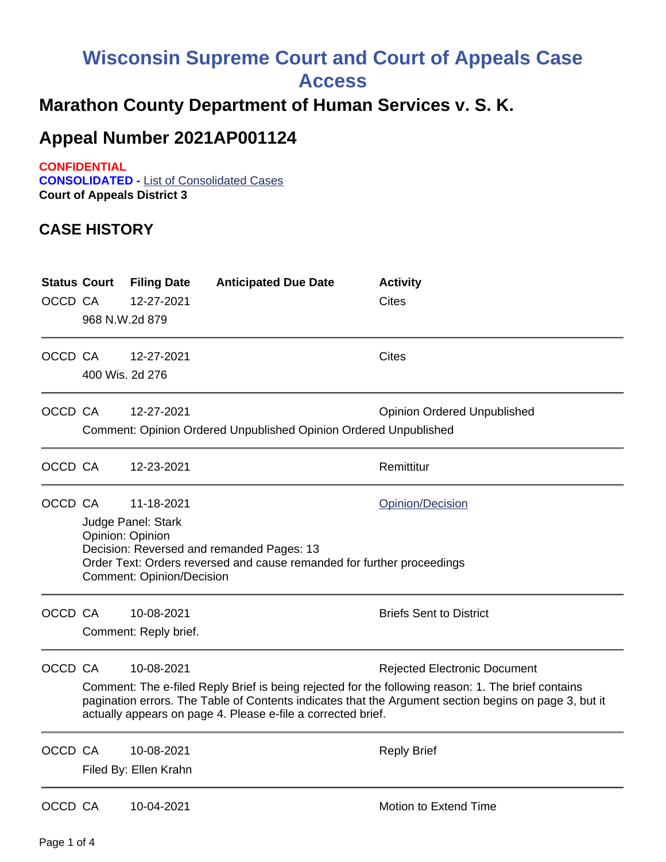## **Wisconsin Supreme Court and Court of Appeals Case**

**Access**

## **Marathon County Department of Human Services v. S. K.**

## **Appeal Number 2021AP001124**

**CONFIDENTIAL**

**CONSOLIDATED -** List of Consolidated Cases **Court of Appeals District 3**

## **CASE HISTORY**

| <b>Status Court</b><br>OCCD CA | 968 N.W.2d 879                                                                                                                                                                                                                             | <b>Filing Date</b><br>12-27-2021    | <b>Anticipated Due Date</b>                                      | <b>Activity</b><br><b>Cites</b>                                                                                                                                                                                                                    |
|--------------------------------|--------------------------------------------------------------------------------------------------------------------------------------------------------------------------------------------------------------------------------------------|-------------------------------------|------------------------------------------------------------------|----------------------------------------------------------------------------------------------------------------------------------------------------------------------------------------------------------------------------------------------------|
| OCCD CA                        | 400 Wis. 2d 276                                                                                                                                                                                                                            | 12-27-2021                          |                                                                  | <b>Cites</b>                                                                                                                                                                                                                                       |
| OCCD CA                        |                                                                                                                                                                                                                                            | 12-27-2021                          | Comment: Opinion Ordered Unpublished Opinion Ordered Unpublished | <b>Opinion Ordered Unpublished</b>                                                                                                                                                                                                                 |
| OCCD CA                        |                                                                                                                                                                                                                                            | 12-23-2021                          |                                                                  | Remittitur                                                                                                                                                                                                                                         |
| OCCD CA                        | 11-18-2021<br><b>Opinion/Decision</b><br>Judge Panel: Stark<br>Opinion: Opinion<br>Decision: Reversed and remanded Pages: 13<br>Order Text: Orders reversed and cause remanded for further proceedings<br><b>Comment: Opinion/Decision</b> |                                     |                                                                  |                                                                                                                                                                                                                                                    |
| OCCD CA                        |                                                                                                                                                                                                                                            | 10-08-2021<br>Comment: Reply brief. |                                                                  | <b>Briefs Sent to District</b>                                                                                                                                                                                                                     |
| OCCD CA                        |                                                                                                                                                                                                                                            | 10-08-2021                          | actually appears on page 4. Please e-file a corrected brief.     | <b>Rejected Electronic Document</b><br>Comment: The e-filed Reply Brief is being rejected for the following reason: 1. The brief contains<br>pagination errors. The Table of Contents indicates that the Argument section begins on page 3, but it |
| OCCD CA                        |                                                                                                                                                                                                                                            | 10-08-2021<br>Filed By: Ellen Krahn |                                                                  | <b>Reply Brief</b>                                                                                                                                                                                                                                 |
| OCCD CA                        |                                                                                                                                                                                                                                            | 10-04-2021                          |                                                                  | Motion to Extend Time                                                                                                                                                                                                                              |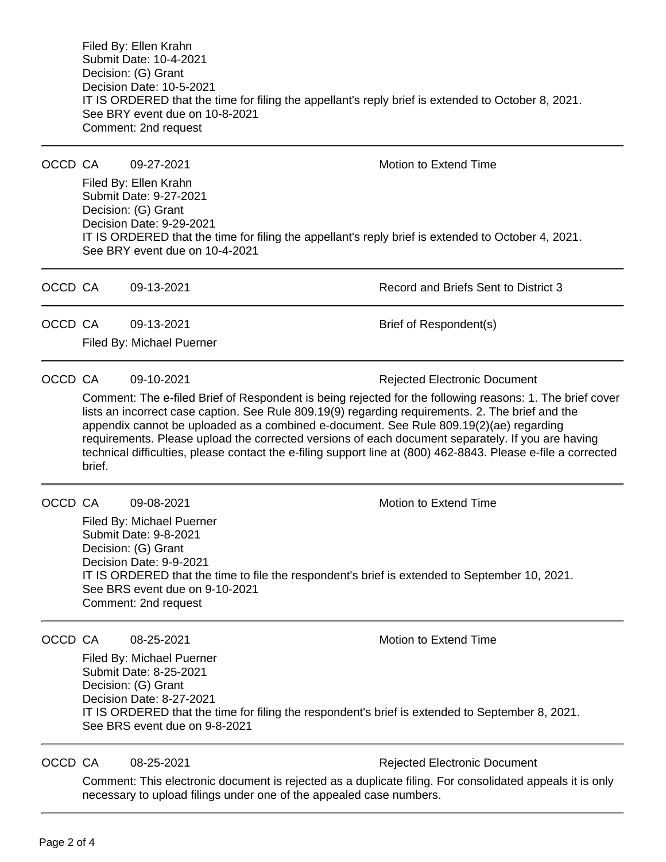Filed By: Ellen Krahn Submit Date: 10-4-2021 Decision: (G) Grant Decision Date: 10-5-2021 IT IS ORDERED that the time for filing the appellant's reply brief is extended to October 8, 2021. See BRY event due on 10-8-2021 Comment: 2nd request

OCCD CA 09-27-2021 Motion to Extend Time

Filed By: Ellen Krahn Submit Date: 9-27-2021 Decision: (G) Grant Decision Date: 9-29-2021 IT IS ORDERED that the time for filing the appellant's reply brief is extended to October 4, 2021. See BRY event due on 10-4-2021

OCCD CA 09-13-2021 COCCD CA 09-13-2021 OCCD CA  $09-13-2021$  Brief of Respondent(s)

Filed By: Michael Puerner

OCCD CA 09-10-2021 Bejected Electronic Document

Comment: The e-filed Brief of Respondent is being rejected for the following reasons: 1. The brief cover lists an incorrect case caption. See Rule 809.19(9) regarding requirements. 2. The brief and the appendix cannot be uploaded as a combined e-document. See Rule 809.19(2)(ae) regarding requirements. Please upload the corrected versions of each document separately. If you are having technical difficulties, please contact the e-filing support line at (800) 462-8843. Please e-file a corrected brief.

OCCD CA  $09-08-2021$  Motion to Extend Time

Filed By: Michael Puerner Submit Date: 9-8-2021 Decision: (G) Grant Decision Date: 9-9-2021 IT IS ORDERED that the time to file the respondent's brief is extended to September 10, 2021. See BRS event due on 9-10-2021 Comment: 2nd request

OCCD CA  $08-25-2021$  Motion to Extend Time

Filed By: Michael Puerner Submit Date: 8-25-2021 Decision: (G) Grant Decision Date: 8-27-2021 IT IS ORDERED that the time for filing the respondent's brief is extended to September 8, 2021. See BRS event due on 9-8-2021

OCCD CA 08-25-2021 **Rejected Electronic Document** 

Comment: This electronic document is rejected as a duplicate filing. For consolidated appeals it is only necessary to upload filings under one of the appealed case numbers.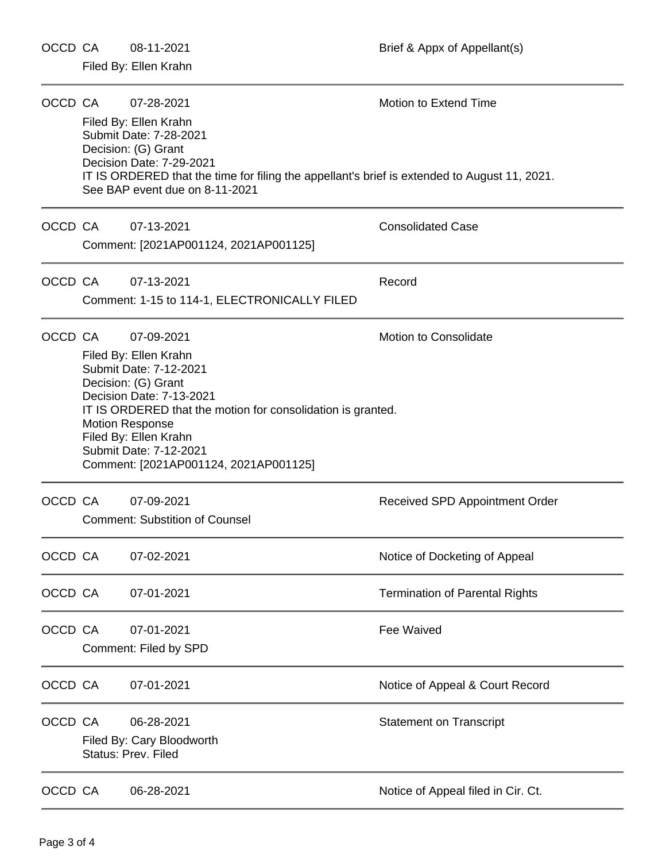OCCD CA 08-11-2021 DERES Brief & Appx of Appellant(s)

|         | OCCD CA                                                                                                                                                                                                                                                                                                                               | 07-28-2021<br>Filed By: Ellen Krahn<br>Submit Date: 7-28-2021<br>Decision: (G) Grant<br>Decision Date: 7-29-2021<br>IT IS ORDERED that the time for filing the appellant's brief is extended to August 11, 2021.<br>See BAP event due on 8-11-2021 | <b>Motion to Extend Time</b>          |
|---------|---------------------------------------------------------------------------------------------------------------------------------------------------------------------------------------------------------------------------------------------------------------------------------------------------------------------------------------|----------------------------------------------------------------------------------------------------------------------------------------------------------------------------------------------------------------------------------------------------|---------------------------------------|
| OCCD CA |                                                                                                                                                                                                                                                                                                                                       | 07-13-2021<br>Comment: [2021AP001124, 2021AP001125]                                                                                                                                                                                                | <b>Consolidated Case</b>              |
| OCCD CA |                                                                                                                                                                                                                                                                                                                                       | 07-13-2021<br>Comment: 1-15 to 114-1, ELECTRONICALLY FILED                                                                                                                                                                                         | Record                                |
| OCCD CA | <b>Motion to Consolidate</b><br>07-09-2021<br>Filed By: Ellen Krahn<br>Submit Date: 7-12-2021<br>Decision: (G) Grant<br>Decision Date: 7-13-2021<br>IT IS ORDERED that the motion for consolidation is granted.<br><b>Motion Response</b><br>Filed By: Ellen Krahn<br>Submit Date: 7-12-2021<br>Comment: [2021AP001124, 2021AP001125] |                                                                                                                                                                                                                                                    |                                       |
| OCCD CA |                                                                                                                                                                                                                                                                                                                                       | 07-09-2021<br><b>Comment: Substition of Counsel</b>                                                                                                                                                                                                | Received SPD Appointment Order        |
| OCCD CA |                                                                                                                                                                                                                                                                                                                                       | 07-02-2021                                                                                                                                                                                                                                         | Notice of Docketing of Appeal         |
| OCCD CA |                                                                                                                                                                                                                                                                                                                                       | 07-01-2021                                                                                                                                                                                                                                         | <b>Termination of Parental Rights</b> |
| OCCD CA |                                                                                                                                                                                                                                                                                                                                       | 07-01-2021<br>Comment: Filed by SPD                                                                                                                                                                                                                | <b>Fee Waived</b>                     |
| OCCD CA |                                                                                                                                                                                                                                                                                                                                       | 07-01-2021                                                                                                                                                                                                                                         | Notice of Appeal & Court Record       |
| OCCD CA |                                                                                                                                                                                                                                                                                                                                       | 06-28-2021<br>Filed By: Cary Bloodworth<br><b>Status: Prev. Filed</b>                                                                                                                                                                              | <b>Statement on Transcript</b>        |
| OCCD CA |                                                                                                                                                                                                                                                                                                                                       | 06-28-2021                                                                                                                                                                                                                                         | Notice of Appeal filed in Cir. Ct.    |